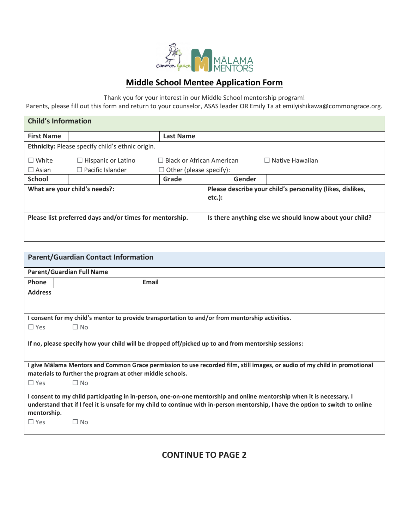

- Thank you for your interest in our Middle School mentorship program!

Parents, please fill out this form and return to your counselor, ASAS leader OR Emily Ta at emilyishikawa@commongrace.org.

| <b>Child's Information</b>    |                                                         |                                  |           |        |                                                            |
|-------------------------------|---------------------------------------------------------|----------------------------------|-----------|--------|------------------------------------------------------------|
| <b>First Name</b>             |                                                         | <b>Last Name</b>                 |           |        |                                                            |
|                               | Ethnicity: Please specify child's ethnic origin.        |                                  |           |        |                                                            |
| $\Box$ White                  | Hispanic or Latino<br>⊔                                 | $\Box$ Black or African American |           |        | $\Box$ Native Hawaiian                                     |
| $\Box$ Asian                  | $\Box$ Pacific Islander                                 | $\Box$ Other (please specify):   |           |        |                                                            |
| <b>School</b>                 |                                                         | Grade                            |           | Gender |                                                            |
| What are your child's needs?: |                                                         |                                  | $etc.$ ): |        | Please describe your child's personality (likes, dislikes, |
|                               | Please list preferred days and/or times for mentorship. |                                  |           |        | Is there anything else we should know about your child?    |

| <b>Parent/Guardian Contact Information</b>                                                                                                                                                                                                                               |                                  |       |  |  |  |  |  |
|--------------------------------------------------------------------------------------------------------------------------------------------------------------------------------------------------------------------------------------------------------------------------|----------------------------------|-------|--|--|--|--|--|
|                                                                                                                                                                                                                                                                          | <b>Parent/Guardian Full Name</b> |       |  |  |  |  |  |
| <b>Phone</b>                                                                                                                                                                                                                                                             |                                  | Email |  |  |  |  |  |
| <b>Address</b>                                                                                                                                                                                                                                                           |                                  |       |  |  |  |  |  |
|                                                                                                                                                                                                                                                                          |                                  |       |  |  |  |  |  |
| I consent for my child's mentor to provide transportation to and/or from mentorship activities.                                                                                                                                                                          |                                  |       |  |  |  |  |  |
| $\Box$ Yes                                                                                                                                                                                                                                                               | $\Box$ No                        |       |  |  |  |  |  |
| If no, please specify how your child will be dropped off/picked up to and from mentorship sessions:                                                                                                                                                                      |                                  |       |  |  |  |  |  |
| I give Mālama Mentors and Common Grace permission to use recorded film, still images, or audio of my child in promotional<br>materials to further the program at other middle schools.                                                                                   |                                  |       |  |  |  |  |  |
| $\Box$ Yes                                                                                                                                                                                                                                                               | $\Box$ No                        |       |  |  |  |  |  |
| I consent to my child participating in in-person, one-on-one mentorship and online mentorship when it is necessary. I<br>understand that if I feel it is unsafe for my child to continue with in-person mentorship, I have the option to switch to online<br>mentorship. |                                  |       |  |  |  |  |  |
| $\Box$ Yes                                                                                                                                                                                                                                                               | $\square$ No                     |       |  |  |  |  |  |

**CONTINUE TO PAGE 2**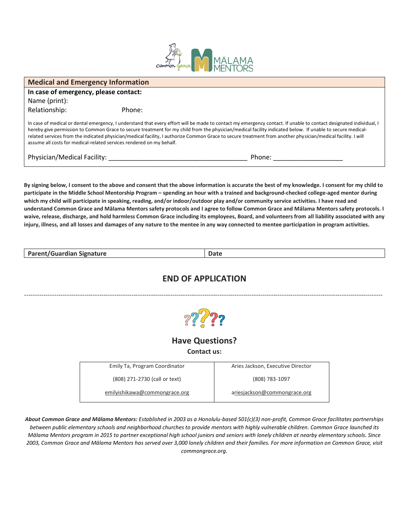

| <b>Medical and Emergency Information</b> |                                                                      |                                                                                                                                                                                                                                                                                                                                                                                                                                                                                                 |  |  |  |
|------------------------------------------|----------------------------------------------------------------------|-------------------------------------------------------------------------------------------------------------------------------------------------------------------------------------------------------------------------------------------------------------------------------------------------------------------------------------------------------------------------------------------------------------------------------------------------------------------------------------------------|--|--|--|
|                                          |                                                                      |                                                                                                                                                                                                                                                                                                                                                                                                                                                                                                 |  |  |  |
| In case of emergency, please contact:    |                                                                      |                                                                                                                                                                                                                                                                                                                                                                                                                                                                                                 |  |  |  |
| Name (print):                            |                                                                      |                                                                                                                                                                                                                                                                                                                                                                                                                                                                                                 |  |  |  |
| Relationship:                            | Phone:                                                               |                                                                                                                                                                                                                                                                                                                                                                                                                                                                                                 |  |  |  |
|                                          | assume all costs for medical-related services rendered on my behalf. | In case of medical or dental emergency, I understand that every effort will be made to contact my emergency contact. If unable to contact designated individual, I<br>hereby give permission to Common Grace to secure treatment for my child from the physician/medical facility indicated below. If unable to secure medical-<br>related services from the indicated physician/medical facility, I authorize Common Grace to secure treatment from another physician/medical facility. I will |  |  |  |
| Physician/Medical Facility:              |                                                                      | Phone:                                                                                                                                                                                                                                                                                                                                                                                                                                                                                          |  |  |  |

**By signing below, I consent to the above and consent that the above information is accurate the best of my knowledge. I consent for my child to participate in the Middle School Mentorship Program – spending an hour with a trained and background-checked college-aged mentor during which my child will participate in speaking, reading, and/or indoor/outdoor play and/or community service activities. I have read and understand Common Grace and Mālama Mentors safety protocols and I agree to follow Common Grace and Mālama Mentors safety protocols. I waive, release, discharge, and hold harmless Common Grace including its employees, Board, and volunteers from all liability associated with any injury, illness, and all losses and damages of any nature to the mentee in any way connected to mentee participation in program activities.** 

| <b>Parent/Guardian Signature</b> | valc |
|----------------------------------|------|
|----------------------------------|------|

### **END OF APPLICATION**

-----------------------------------------------------------------------------------------------------------------------------------------------------------------------



### **Have Questions?**

**Contact us:**

| Emily Ta, Program Coordinator | Aries Jackson, Executive Director |  |  |
|-------------------------------|-----------------------------------|--|--|
| (808) 271-2730 (call or text) | (808) 783-1097                    |  |  |
| emilyishikawa@commongrace.org | ariesjackson@commongrace.org      |  |  |

*About Common Grace and Mālama Mentors: Established in 2003 as a Honolulu-based 501(c)(3) non-profit, Common Grace facilitates partnerships between public elementary schools and neighborhood churches to provide mentors with highly vulnerable children. Common Grace launched its Mālama Mentors program in 2015 to partner exceptional high school juniors and seniors with lonely children at nearby elementary schools. Since 2003, Common Grace and Mālama Mentors has served over 3,000 lonely children and their families. For more information on Common Grace, visit commongrace.org.*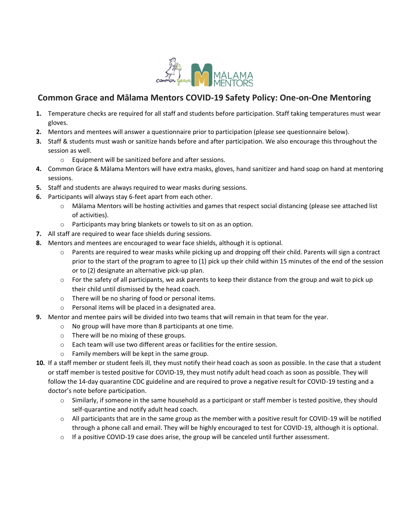

# **Common Grace and Mālama Mentors COVID-19 Safety Policy: One-on-One Mentoring**

- **1.** Temperature checks are required for all staff and students before participation. Staff taking temperatures must wear gloves.
- **2.** Mentors and mentees will answer a questionnaire prior to participation (please see questionnaire below).
- **3.** Staff & students must wash or sanitize hands before and after participation. We also encourage this throughout the session as well.
	- o Equipment will be sanitized before and after sessions.
- **4.** Common Grace & Mālama Mentors will have extra masks, gloves, hand sanitizer and hand soap on hand at mentoring sessions.
- **5.** Staff and students are always required to wear masks during sessions.
- **6.** Participants will always stay 6-feet apart from each other.
	- o Mālama Mentors will be hosting activities and games that respect social distancing (please see attached list of activities).
	- o Participants may bring blankets or towels to sit on as an option.
- **7.** All staff are required to wear face shields during sessions.
- **8.** Mentors and mentees are encouraged to wear face shields, although it is optional.
	- $\circ$  Parents are required to wear masks while picking up and dropping off their child. Parents will sign a contract prior to the start of the program to agree to (1) pick up their child within 15 minutes of the end of the session or to (2) designate an alternative pick-up plan.
	- $\circ$  For the safety of all participants, we ask parents to keep their distance from the group and wait to pick up their child until dismissed by the head coach.
	- o There will be no sharing of food or personal items.
	- o Personal items will be placed in a designated area.
- **9.** Mentor and mentee pairs will be divided into two teams that will remain in that team for the year.
	- o No group will have more than 8 participants at one time.
	- o There will be no mixing of these groups.
	- o Each team will use two different areas or facilities for the entire session.
	- o Family members will be kept in the same group.
- **10.** If a staff member or student feels ill, they must notify their head coach as soon as possible. In the case that a student or staff member is tested positive for COVID-19, they must notify adult head coach as soon as possible. They will follow the 14-day quarantine CDC guideline and are required to prove a negative result for COVID-19 testing and a doctor's note before participation.
	- $\circ$  Similarly, if someone in the same household as a participant or staff member is tested positive, they should self-quarantine and notify adult head coach.
	- o All participants that are in the same group as the member with a positive result for COVID-19 will be notified through a phone call and email. They will be highly encouraged to test for COVID-19, although it is optional.
	- $\circ$  If a positive COVID-19 case does arise, the group will be canceled until further assessment.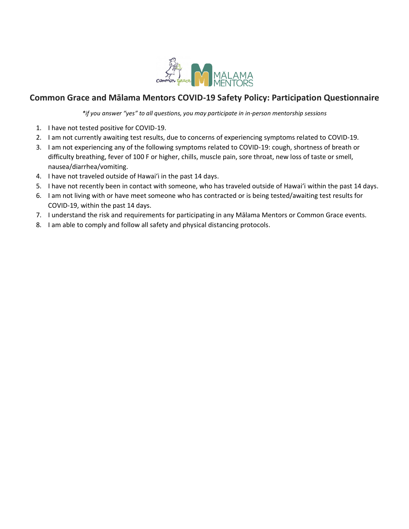

# **Common Grace and Mālama Mentors COVID-19 Safety Policy: Participation Questionnaire**

*\*if you answer "yes" to all questions, you may participate in in-person mentorship sessions*

- 1. I have not tested positive for COVID-19.
- 2. I am not currently awaiting test results, due to concerns of experiencing symptoms related to COVID-19.
- 3. I am not experiencing any of the following symptoms related to COVID-19: cough, shortness of breath or difficulty breathing, fever of 100 F or higher, chills, muscle pain, sore throat, new loss of taste or smell, nausea/diarrhea/vomiting.
- 4. I have not traveled outside of Hawaiʻi in the past 14 days.
- 5. I have not recently been in contact with someone, who has traveled outside of Hawaiʻi within the past 14 days.
- 6. I am not living with or have meet someone who has contracted or is being tested/awaiting test results for COVID-19, within the past 14 days.
- 7. I understand the risk and requirements for participating in any Mālama Mentors or Common Grace events.
- 8. I am able to comply and follow all safety and physical distancing protocols.